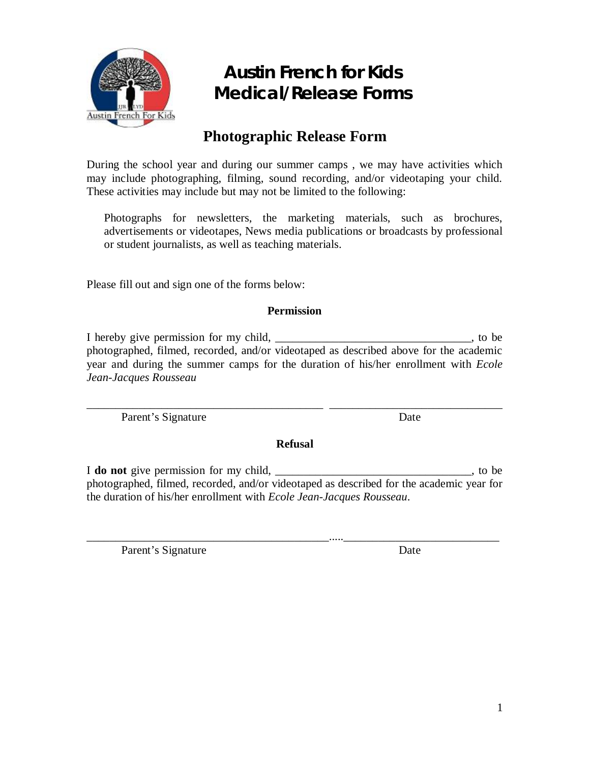

#### **Photographic Release Form**

During the school year and during our summer camps , we may have activities which may include photographing, filming, sound recording, and/or videotaping your child. These activities may include but may not be limited to the following:

Photographs for newsletters, the marketing materials, such as brochures, advertisements or videotapes, News media publications or broadcasts by professional or student journalists, as well as teaching materials.

Please fill out and sign one of the forms below:

#### **Permission**

I hereby give permission for my child, the same state of the state of the state of the state of the state of the state of the state of the state of the state of the state of the state of the state of the state of the state photographed, filmed, recorded, and/or videotaped as described above for the academic year and during the summer camps for the duration of his/her enrollment with *Ecole Jean-Jacques Rousseau*

Parent's Signature Date

**Refusal**

\_\_\_\_\_\_\_\_\_\_\_\_\_\_\_\_\_\_\_\_\_\_\_\_\_\_\_\_\_\_\_\_\_\_\_\_\_\_\_\_\_ \_\_\_\_\_\_\_\_\_\_\_\_\_\_\_\_\_\_\_\_\_\_\_\_\_\_\_\_\_\_

I **do not** give permission for my child, \_\_\_\_\_\_\_\_\_\_\_\_\_\_\_\_\_\_\_\_\_\_\_\_\_\_\_\_\_\_\_\_\_, to be photographed, filmed, recorded, and/or videotaped as described for the academic year for the duration of his/her enrollment with *Ecole Jean-Jacques Rousseau*.

\_\_\_\_\_\_\_\_\_\_\_\_\_\_\_\_\_\_\_\_\_\_\_\_\_\_\_\_\_\_\_\_\_\_\_\_\_\_\_\_\_\_.....\_\_\_\_\_\_\_\_\_\_\_\_\_\_\_\_\_\_\_\_\_\_\_\_\_\_\_

Parent's Signature Date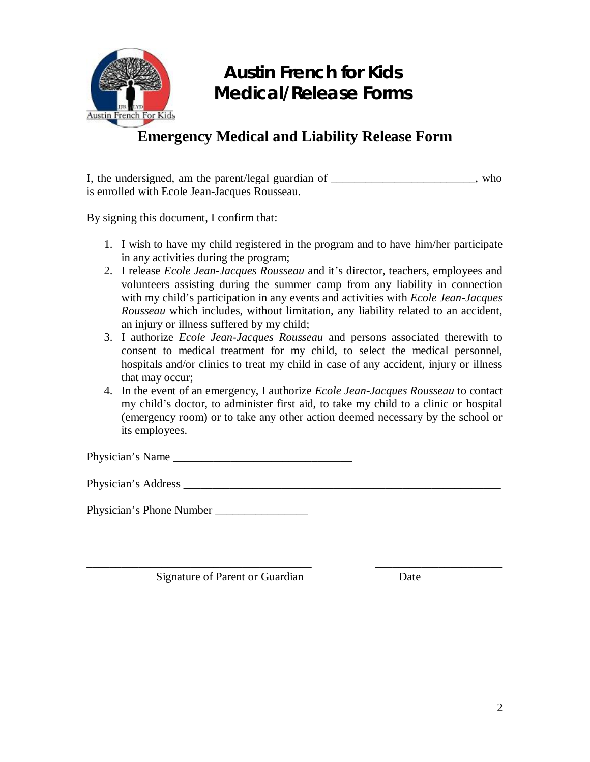

#### **Emergency Medical and Liability Release Form**

I, the undersigned, am the parent/legal guardian of the undersident sum who contains the understanding  $\mu$ is enrolled with Ecole Jean-Jacques Rousseau.

By signing this document, I confirm that:

- 1. I wish to have my child registered in the program and to have him/her participate in any activities during the program;
- 2. I release *Ecole Jean-Jacques Rousseau* and it's director, teachers, employees and volunteers assisting during the summer camp from any liability in connection with my child's participation in any events and activities with *Ecole Jean-Jacques Rousseau* which includes, without limitation, any liability related to an accident, an injury or illness suffered by my child;
- 3. I authorize *Ecole Jean-Jacques Rousseau* and persons associated therewith to consent to medical treatment for my child, to select the medical personnel, hospitals and/or clinics to treat my child in case of any accident, injury or illness that may occur;
- 4. In the event of an emergency, I authorize *Ecole Jean-Jacques Rousseau* to contact my child's doctor, to administer first aid, to take my child to a clinic or hospital (emergency room) or to take any other action deemed necessary by the school or its employees.

Physician's Name

Physician's Address **Example 20** 

Physician's Phone Number \_\_\_\_\_\_\_\_\_\_\_\_\_\_\_\_

Signature of Parent or Guardian Date

\_\_\_\_\_\_\_\_\_\_\_\_\_\_\_\_\_\_\_\_\_\_\_\_\_\_\_\_\_\_\_\_\_\_\_\_\_\_\_ \_\_\_\_\_\_\_\_\_\_\_\_\_\_\_\_\_\_\_\_\_\_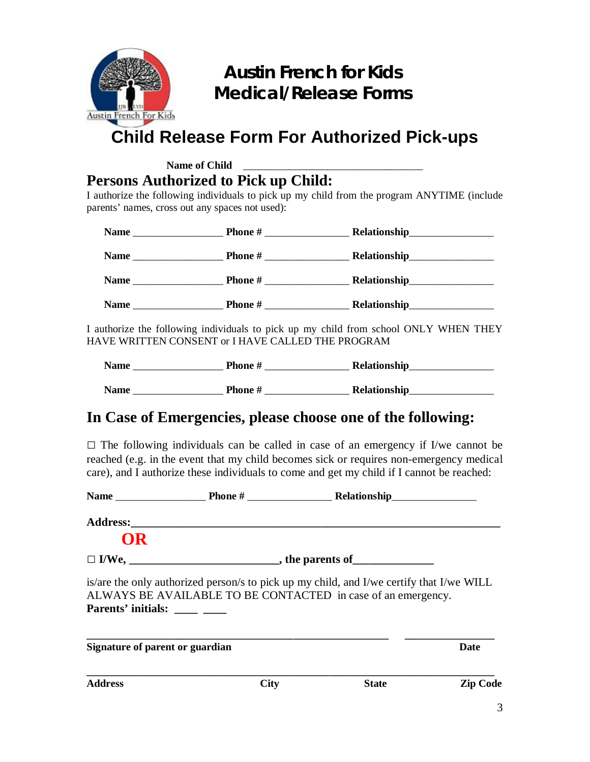

### **Child Release Form For Authorized Pick-ups**

Name of Child **Persons Authorized to Pick up Child:**

I authorize the following individuals to pick up my child from the program ANYTIME (include parents' names, cross out any spaces not used):

| <b>Name</b> | Phone #                                                            |  |
|-------------|--------------------------------------------------------------------|--|
| <b>Name</b> | <b>Phone</b> #<br><u> 1980 - Jan Barbara Barbara, prima popula</u> |  |
| <b>Name</b> | <b>Phone</b> #<br><u> a shekara ta 1999 a shekara t</u>            |  |
| <b>Name</b> | <b>Phone</b> #<br><u> 1989 - Alban Stores</u>                      |  |

I authorize the following individuals to pick up my child from school ONLY WHEN THEY HAVE WRITTEN CONSENT or I HAVE CALLED THE PROGRAM

| <b>Name</b> | Phone # | Relationship |
|-------------|---------|--------------|
| <b>Name</b> | Phone # | Relationship |

#### **In Case of Emergencies, please choose one of the following:**

□ The following individuals can be called in case of an emergency if I/we cannot be reached (e.g. in the event that my child becomes sick or requires non-emergency medical care), and I authorize these individuals to come and get my child if I cannot be reached:

| OR                              |             |                                                                                                                                                          |                 |
|---------------------------------|-------------|----------------------------------------------------------------------------------------------------------------------------------------------------------|-----------------|
|                                 |             |                                                                                                                                                          |                 |
| Parents' initials: _____ ____   |             | is/are the only authorized person/s to pick up my child, and I/we certify that I/we WILL<br>ALWAYS BE AVAILABLE TO BE CONTACTED in case of an emergency. |                 |
| Signature of parent or guardian |             |                                                                                                                                                          | <b>Date</b>     |
| <b>Address</b>                  | <b>City</b> | <b>State</b>                                                                                                                                             | <b>Zip Code</b> |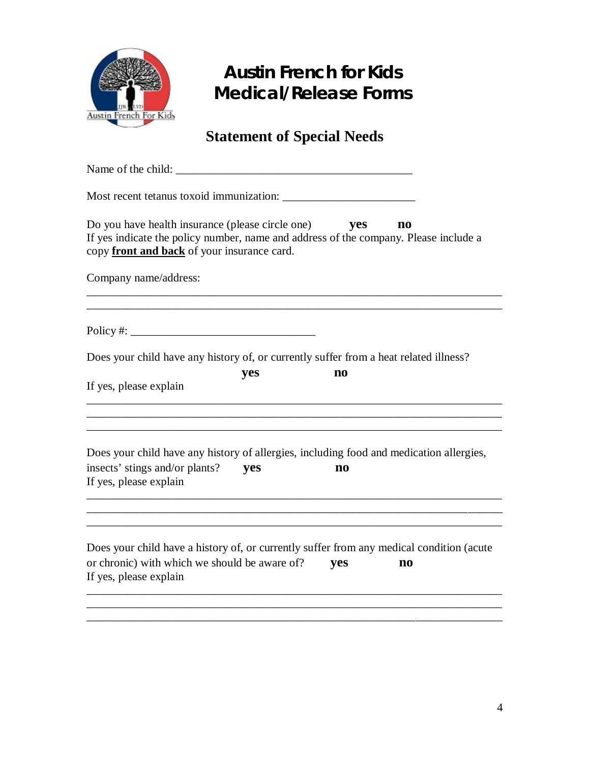

### **Statement of Special Needs**

| Do you have health insurance (please circle one)<br>yes<br>$\mathbf{n}\mathbf{o}$<br>If yes indicate the policy number, name and address of the company. Please include a<br>copy front and back of your insurance card. |
|--------------------------------------------------------------------------------------------------------------------------------------------------------------------------------------------------------------------------|
| Company name/address:                                                                                                                                                                                                    |
|                                                                                                                                                                                                                          |
| Does your child have any history of, or currently suffer from a heat related illness?<br>yes<br>n <sub>0</sub><br>If yes, please explain                                                                                 |
|                                                                                                                                                                                                                          |
| Does your child have any history of allergies, including food and medication allergies,<br>insects' stings and/or plants?<br>yes<br>no<br>If yes, please explain                                                         |
|                                                                                                                                                                                                                          |
| Does your child have a history of, or currently suffer from any medical condition (acute<br>or chronic) with which we should be aware of?<br>yes<br>$\mathbf{n}\mathbf{o}$<br>If yes, please explain                     |
|                                                                                                                                                                                                                          |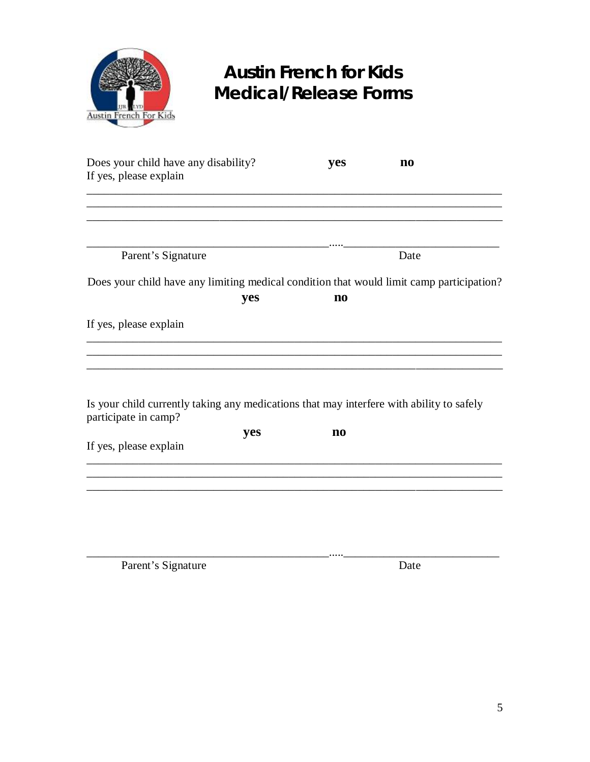

| Does your child have any disability?                                                                             | yes                    | $\mathbf{n}\mathbf{o}$ |
|------------------------------------------------------------------------------------------------------------------|------------------------|------------------------|
| If yes, please explain                                                                                           |                        |                        |
|                                                                                                                  |                        |                        |
|                                                                                                                  |                        |                        |
|                                                                                                                  |                        |                        |
| Parent's Signature                                                                                               |                        | Date                   |
| Does your child have any limiting medical condition that would limit camp participation?                         |                        |                        |
| yes                                                                                                              | $\mathbf{n}\mathbf{o}$ |                        |
| If yes, please explain                                                                                           |                        |                        |
|                                                                                                                  |                        |                        |
| Is your child currently taking any medications that may interfere with ability to safely<br>participate in camp? |                        |                        |
| yes                                                                                                              | $\mathbf{n}\mathbf{o}$ |                        |
| If yes, please explain                                                                                           |                        |                        |
|                                                                                                                  |                        |                        |
|                                                                                                                  |                        |                        |
|                                                                                                                  |                        |                        |
|                                                                                                                  |                        |                        |
|                                                                                                                  |                        |                        |

\_\_\_\_\_\_\_\_\_\_\_\_\_\_\_\_\_\_\_\_\_\_\_\_\_\_\_\_\_\_\_\_\_\_\_\_\_\_\_\_\_\_.....\_\_\_\_\_\_\_\_\_\_\_\_\_\_\_\_\_\_\_\_\_\_\_\_\_\_\_

Parent's Signature Date